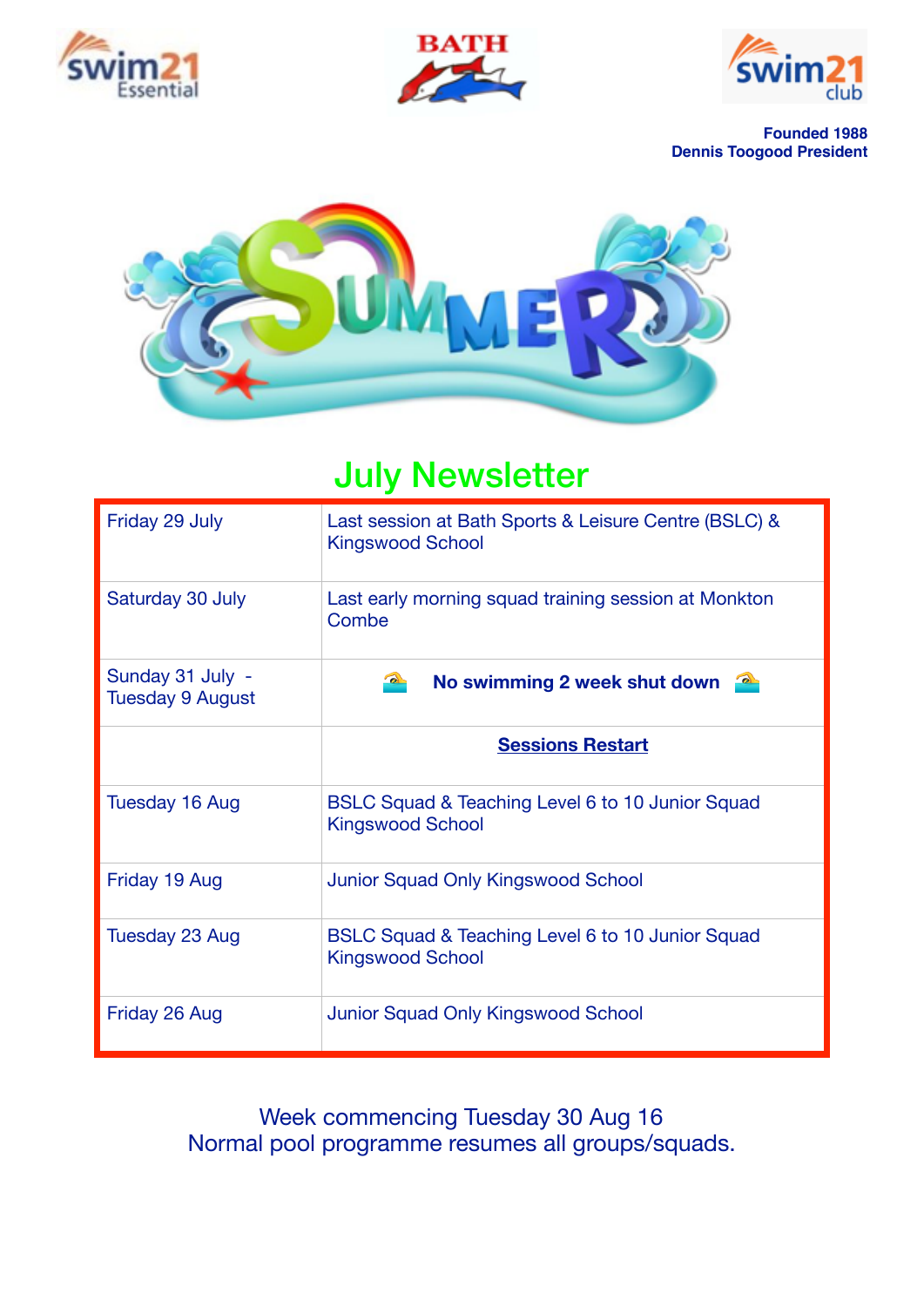





**Founded 1988 Dennis Toogood President**



# July Newsletter

| Friday 29 July                              | Last session at Bath Sports & Leisure Centre (BSLC) &<br><b>Kingswood School</b> |  |
|---------------------------------------------|----------------------------------------------------------------------------------|--|
| Saturday 30 July                            | Last early morning squad training session at Monkton<br>Combe                    |  |
| Sunday 31 July -<br><b>Tuesday 9 August</b> | $\rightarrow$<br>No swimming 2 week shut down                                    |  |
|                                             | <b>Sessions Restart</b>                                                          |  |
| Tuesday 16 Aug                              | BSLC Squad & Teaching Level 6 to 10 Junior Squad<br><b>Kingswood School</b>      |  |
| Friday 19 Aug                               | <b>Junior Squad Only Kingswood School</b>                                        |  |
| Tuesday 23 Aug                              | BSLC Squad & Teaching Level 6 to 10 Junior Squad<br><b>Kingswood School</b>      |  |
| Friday 26 Aug                               | <b>Junior Squad Only Kingswood School</b>                                        |  |

Week commencing Tuesday 30 Aug 16 Normal pool programme resumes all groups/squads.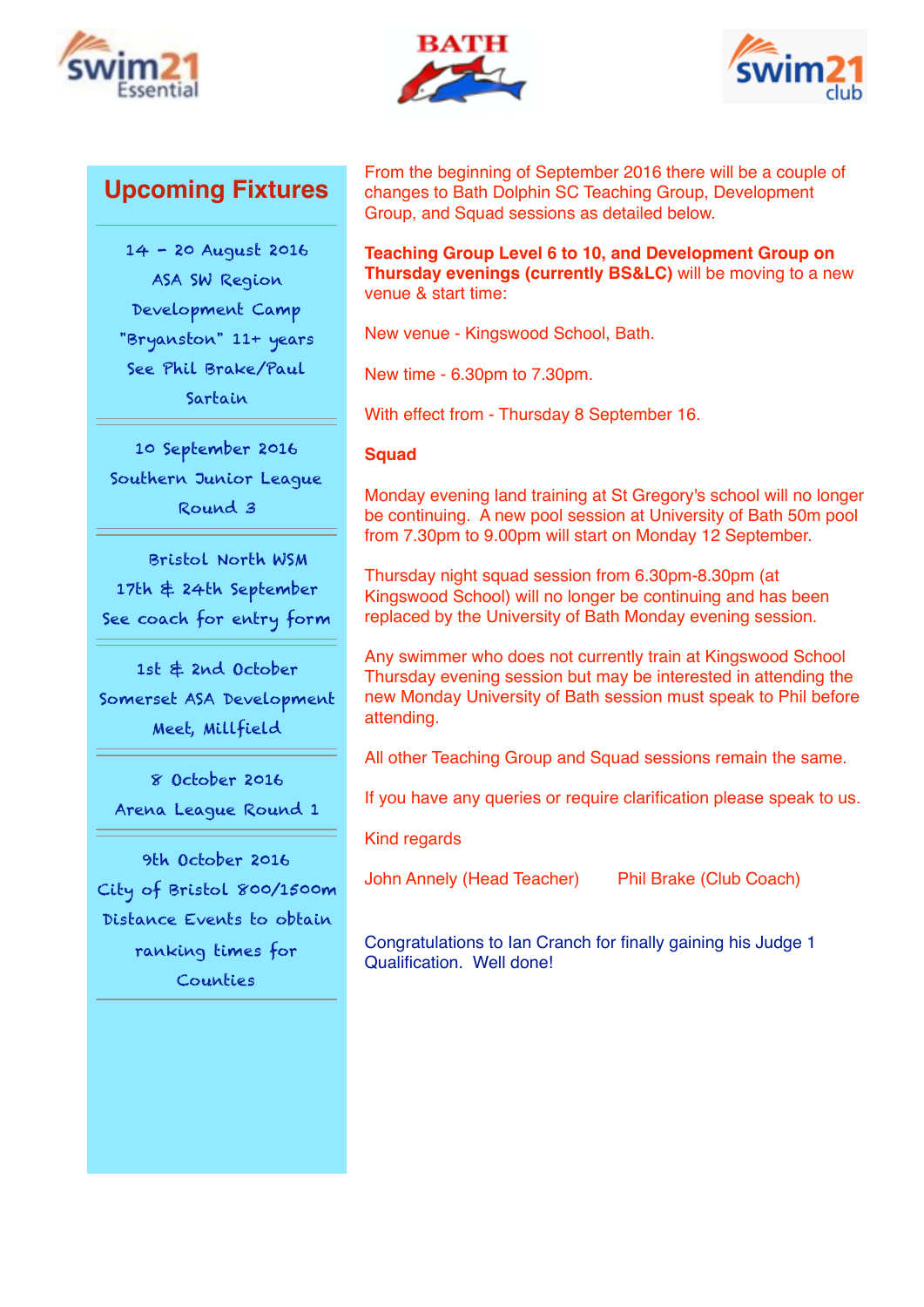





## **Upcoming Fixtures**

14 - 20 August 2016 ASA SW Region Development Camp "Bryanston" 11+ years See Phil Brake/Paul Sartain

10 September 2016 Southern Junior League Round 3

 Bristol North WSM 17th & 24th September See coach for entry form

1st & 2nd October Somerset ASA Development Meet, Millfield

8 October 2016 Arena League Round 1

9th October 2016 City of Bristol 800/1500m Distance Events to obtain ranking times for Counties

From the beginning of September 2016 there will be a couple of changes to Bath Dolphin SC Teaching Group, Development Group, and Squad sessions as detailed below.

**Teaching Group Level 6 to 10, and Development Group on Thursday evenings (currently BS&LC)** will be moving to a new venue & start time:

New venue - Kingswood School, Bath.

New time - 6.30pm to 7.30pm.

With effect from - Thursday 8 September 16.

### **Squad**

Monday evening land training at St Gregory's school will no longer be continuing. A new pool session at University of Bath 50m pool from 7.30pm to 9.00pm will start on Monday 12 September.

Thursday night squad session from 6.30pm-8.30pm (at Kingswood School) will no longer be continuing and has been replaced by the University of Bath Monday evening session.

Any swimmer who does not currently train at Kingswood School Thursday evening session but may be interested in attending the new Monday University of Bath session must speak to Phil before attending.

All other Teaching Group and Squad sessions remain the same.

If you have any queries or require clarification please speak to us.

Kind regards

John Annely (Head Teacher) Phil Brake (Club Coach)

Congratulations to Ian Cranch for finally gaining his Judge 1 Qualification. Well done!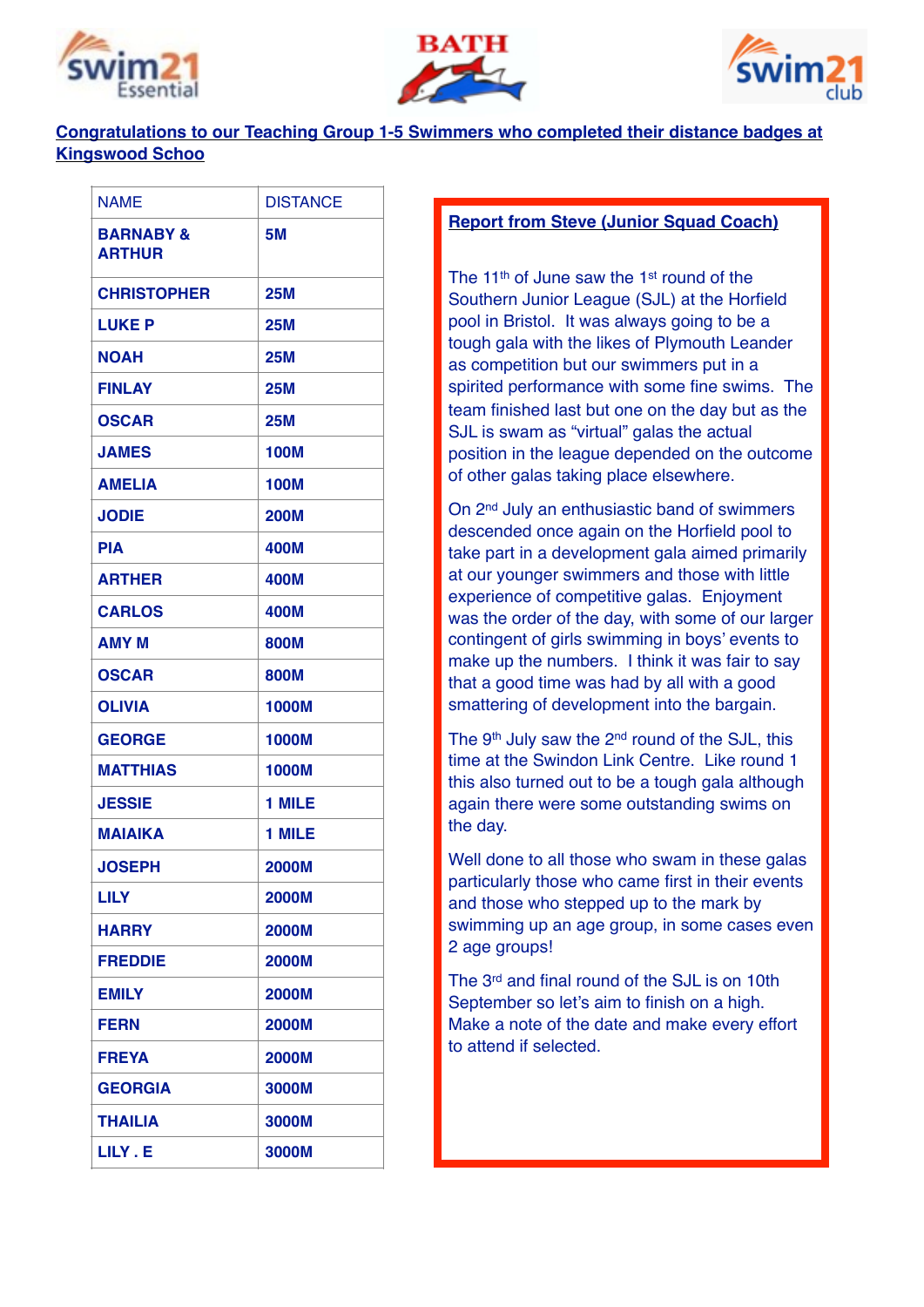





## **Congratulations to our Teaching Group 1-5 Swimmers who completed their distance badges at Kingswood Schoo**

| <b>NAME</b>                           | <b>DISTANCE</b> |
|---------------------------------------|-----------------|
| <b>BARNABY &amp;</b><br><b>ARTHUR</b> | <b>5M</b>       |
| <b>CHRISTOPHER</b>                    | <b>25M</b>      |
| <b>LUKE P</b>                         | <b>25M</b>      |
| <b>NOAH</b>                           | <b>25M</b>      |
| <b>FINLAY</b>                         | 25M             |
| <b>OSCAR</b>                          | <b>25M</b>      |
| <b>JAMES</b>                          | <b>100M</b>     |
| <b>AMELIA</b>                         | <b>100M</b>     |
| <b>JODIE</b>                          | <b>200M</b>     |
| <b>PIA</b>                            | 400M            |
| <b>ARTHER</b>                         | 400M            |
| <b>CARLOS</b>                         | 400M            |
| <b>AMY M</b>                          | 800M            |
| <b>OSCAR</b>                          | 800M            |
| <b>OLIVIA</b>                         | 1000M           |
| <b>GEORGE</b>                         | 1000M           |
| <b>MATTHIAS</b>                       | <b>1000M</b>    |
| <b>JESSIE</b>                         | 1 MILE          |
| <b>MAIAIKA</b>                        | 1 MILE          |
| <b>JOSEPH</b>                         | <b>2000M</b>    |
| <b>LILY</b>                           | <b>2000M</b>    |
| <b>HARRY</b>                          | <b>2000M</b>    |
| <b>FREDDIE</b>                        | <b>2000M</b>    |
| <b>EMILY</b>                          | <b>2000M</b>    |
| <b>FERN</b>                           | <b>2000M</b>    |
| <b>FREYA</b>                          | <b>2000M</b>    |
| <b>GEORGIA</b>                        | 3000M           |
| <b>THAILIA</b>                        | 3000M           |
| LILY . E                              | 3000M           |

### **Report from Steve (Junior Squad Coach)**

The 11<sup>th</sup> of June saw the 1<sup>st</sup> round of the Southern Junior League (SJL) at the Horfield pool in Bristol. It was always going to be a tough gala with the likes of Plymouth Leander as competition but our swimmers put in a spirited performance with some fine swims. The team finished last but one on the day but as the SJL is swam as "virtual" galas the actual position in the league depended on the outcome of other galas taking place elsewhere.

On 2nd July an enthusiastic band of swimmers descended once again on the Horfield pool to take part in a development gala aimed primarily at our younger swimmers and those with little experience of competitive galas. Enjoyment was the order of the day, with some of our larger contingent of girls swimming in boys' events to make up the numbers. I think it was fair to say that a good time was had by all with a good smattering of development into the bargain.

The 9th July saw the 2nd round of the SJL, this time at the Swindon Link Centre. Like round 1 this also turned out to be a tough gala although again there were some outstanding swims on the day.

Well done to all those who swam in these galas particularly those who came first in their events and those who stepped up to the mark by swimming up an age group, in some cases even 2 age groups!

The 3rd and final round of the SJL is on 10th September so let's aim to finish on a high. Make a note of the date and make every effort to attend if selected.